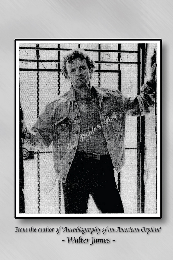

From the author of 'Autobiography of an American Orphan' - Walter James -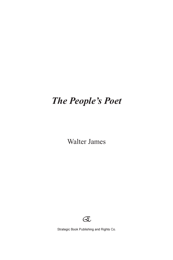# *The People's Poet*

Walter James



Strategic Book Publishing and Rights Co.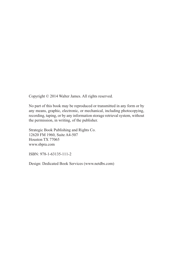Copyright © 2014 Walter James. All rights reserved.

No part of this book may be reproduced or transmitted in any form or by any means, graphic, electronic, or mechanical, including photocopying, recording, taping, or by any information storage retrieval system, without the permission, in writing, of the publisher.

Strategic Book Publishing and Rights Co. 12620 FM 1960, Suite A4-507 Houston TX 77065 www.sbpra.com

ISBN: 978-1-63135-111-2

Design: Dedicated Book Services (www.netdbs.com)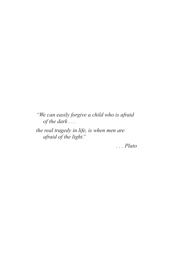*"We can easily forgive a child who is afraid of the dark . . .*

*the real tragedy in life, is when men are afraid of the light."*

*. . . Plato*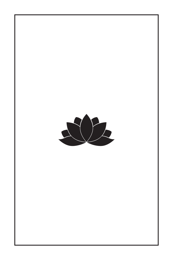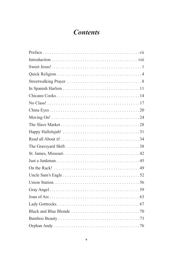## **Contents**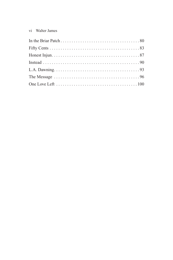#### vi Walter James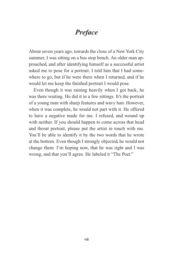#### *Preface*

About seven years ago, towards the close of a New York City summer, I was sitting on a bus stop bench. An older man approached, and after identifying himself as a successful artist asked me to pose for a portrait. I told him that I had somewhere to go, but if he were there when I returned, and if he would let me keep the finished portrait I would pose.

Even though it was raining heavily when I got back, he was there waiting. He did it in a few sittings. It's the portrait of a young man with sharp features and wavy hair. However, when it was complete, he would not part with it. He offered to have a negative made for me. I refused, and wound up with neither. If you should happen to come across that head and throat portrait, please put the artist in touch with me. You'll be able to identify it by the two words that he wrote at the bottom. Even though I strongly objected, he would not change them. I'm hoping now, that he was right and I was wrong, and that you'll agree. He labeled it "The Poet."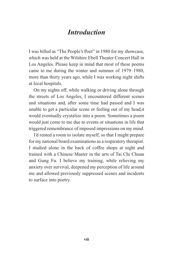#### *Introduction*

I was billed as "The People's Poet" in 1980 for my showcase, which was held at the Wilshire Ebell Theater Concert Hall in Los Angeles. Please keep in mind that most of these poems came to me during the winter and summer of 1979–1980, more than thirty years ago, while I was working night shifts at local hospitals.

On my nights off, while walking or driving alone through the streets of Los Angeles, I encountered different scenes and situations and, after some time had passed and I was unable to get a particular scene or feeling out of my head,it would eventually crystalize into a poem. Sometimes a poem would just come to me due to events or situations in life that triggered remembrance of imposed impressions on my mind.

I'd rented a room to isolate myself, so that I might prepare for my national board examinations as a respiratory therapist. I studied alone in the back of coffee shops at night and trained with a Chinese Master in the arts of Tai Chi Chuan and Gung Fu. I believe my training, while relieving my anxiety over survival, deepened my perception of life around me and allowed previously suppressed scenes and incidents to surface into poetry.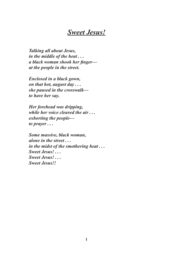#### *Sweet Jesus!*

*Talking all about Jesus, in the middle of the heat . . . a black woman shook her finger at the people in the street.*

*Enclosed in a black gown, on that hot, august day . . . she paused in the crosswalk to have her say.*

*Her forehead was dripping, while her voice cleaved the air . . . exhorting the people to prayer . . .*

*Some massive, black woman, alone in the street . . . in the midst of the smothering heat . . . Sweet Jesus! . . . Sweet Jesus! . . . Sweet Jesus!!*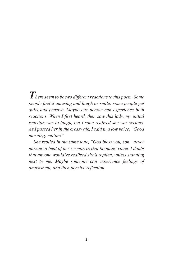*There seem to be two different reactions to this poem. Some people find it amusing and laugh or smile; some people get quiet and pensive. Maybe one person can experience both reactions. When I first heard, then saw this lady, my initial reaction was to laugh, but I soon realized she was serious. As I passed her in the crosswalk, I said in a low voice, "Good morning, ma'am."*

*She replied in the same tone, "God bless you, son," never missing a beat of her sermon in that booming voice. I doubt that anyone would've realized she'd replied, unless standing next to me. Maybe someone can experience feelings of amusement, and then pensive reflection.*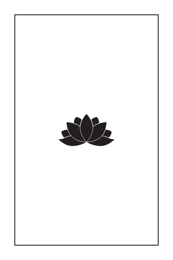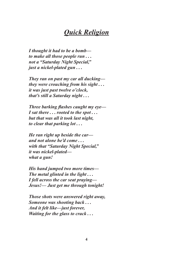### *Quick Religion*

*I thought it had to be a bomb to make all those people run . . . not a "Saturday Night Special," just a nickel-plated gun . . .*

*They ran on past my car all ducking they were crouching from his sight . . . it was just past twelve o'clock, that's still a Saturday night . . .*

*Three barking flashes caught my eye-I sat there . . . rooted to the spot . . . but that was all it took last night, to clear that parking lot . . .*

*He ran right up beside the car and not alone he'd come . . . with that "Saturday Night Special," it was nickel-plated what a gun!*

*His hand jumped two more times— The metal glinted in the light . . . I fell across the car seat praying— Jesus!— Just get me through tonight!*

*Those shots were answered right away, Someone was shooting back . . . And it felt like—just forever, Waiting for the glass to crack . . .*